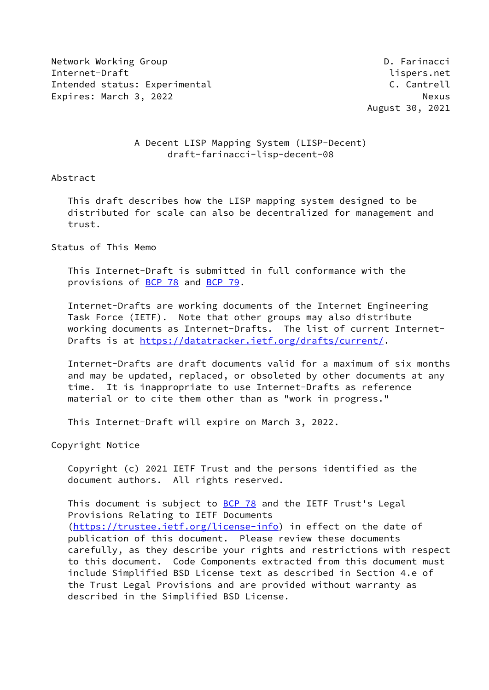Network Working Group **D. Farinacci** Internet-Draft lispers.net Intended status: Experimental C. Cantrell C. Cantrell Expires: March 3, 2022 Nexus

August 30, 2021

## A Decent LISP Mapping System (LISP-Decent) draft-farinacci-lisp-decent-08

#### Abstract

 This draft describes how the LISP mapping system designed to be distributed for scale can also be decentralized for management and trust.

## Status of This Memo

 This Internet-Draft is submitted in full conformance with the provisions of [BCP 78](https://datatracker.ietf.org/doc/pdf/bcp78) and [BCP 79](https://datatracker.ietf.org/doc/pdf/bcp79).

 Internet-Drafts are working documents of the Internet Engineering Task Force (IETF). Note that other groups may also distribute working documents as Internet-Drafts. The list of current Internet Drafts is at<https://datatracker.ietf.org/drafts/current/>.

 Internet-Drafts are draft documents valid for a maximum of six months and may be updated, replaced, or obsoleted by other documents at any time. It is inappropriate to use Internet-Drafts as reference material or to cite them other than as "work in progress."

This Internet-Draft will expire on March 3, 2022.

Copyright Notice

 Copyright (c) 2021 IETF Trust and the persons identified as the document authors. All rights reserved.

This document is subject to [BCP 78](https://datatracker.ietf.org/doc/pdf/bcp78) and the IETF Trust's Legal Provisions Relating to IETF Documents [\(https://trustee.ietf.org/license-info](https://trustee.ietf.org/license-info)) in effect on the date of publication of this document. Please review these documents carefully, as they describe your rights and restrictions with respect to this document. Code Components extracted from this document must include Simplified BSD License text as described in Section 4.e of the Trust Legal Provisions and are provided without warranty as described in the Simplified BSD License.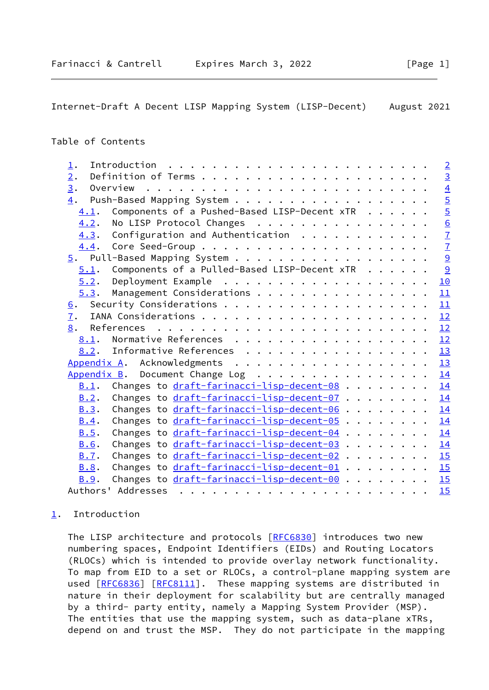# <span id="page-1-1"></span>Table of Contents

| 1.                                                       | $\overline{2}$ |
|----------------------------------------------------------|----------------|
| 2.                                                       | $\overline{3}$ |
| $\overline{3}$ .                                         | $\overline{4}$ |
| 4.                                                       |                |
| Components of a Pushed-Based LISP-Decent xTR<br>4.1.     | $rac{5}{5}$    |
| No LISP Protocol Changes<br>4.2.                         |                |
| Configuration and Authentication $\ldots$<br>4.3.        | $\frac{6}{7}$  |
|                                                          |                |
|                                                          | $\overline{9}$ |
| Components of a Pulled-Based LISP-Decent xTR<br>5.1.     | $\overline{9}$ |
| 5.2.                                                     | 10             |
| Management Considerations<br>5.3.                        | 11             |
| 6.                                                       | 11             |
| 7.                                                       | 12             |
| 8.                                                       | 12             |
| Normative References<br>8.1.                             | 12             |
| 8.2. Informative References                              | 13             |
| Appendix A. Acknowledgments                              | 13             |
| Appendix B. Document Change Log                          | 14             |
| Changes to <u>draft-farinacci-lisp-decent-08</u><br>B.1. | 14             |
| Changes to draft-farinacci-lisp-decent-07<br>B.2.        | 14             |
| Changes to draft-farinacci-lisp-decent-06<br>B.3.        | 14             |
| Changes to draft-farinacci-lisp-decent-05<br>B.4.        | 14             |
| Changes to draft-farinacci-lisp-decent-04<br>B.5.        | 14             |
| Changes to draft-farinacci-lisp-decent-03<br><b>B.6.</b> | 14             |
| Changes to draft-farinacci-lisp-decent-02<br>B.7.        | 15             |
| Changes to draft-farinacci-lisp-decent-01 15<br>B.8.     |                |
| Changes to draft-farinacci-lisp-decent-00<br>B.9.        | 15             |
|                                                          | 15             |

## <span id="page-1-0"></span>[1](#page-1-0). Introduction

The LISP architecture and protocols [\[RFC6830](https://datatracker.ietf.org/doc/pdf/rfc6830)] introduces two new numbering spaces, Endpoint Identifiers (EIDs) and Routing Locators (RLOCs) which is intended to provide overlay network functionality. To map from EID to a set or RLOCs, a control-plane mapping system are used [\[RFC6836](https://datatracker.ietf.org/doc/pdf/rfc6836)] [\[RFC8111](https://datatracker.ietf.org/doc/pdf/rfc8111)]. These mapping systems are distributed in nature in their deployment for scalability but are centrally managed by a third- party entity, namely a Mapping System Provider (MSP). The entities that use the mapping system, such as data-plane xTRs, depend on and trust the MSP. They do not participate in the mapping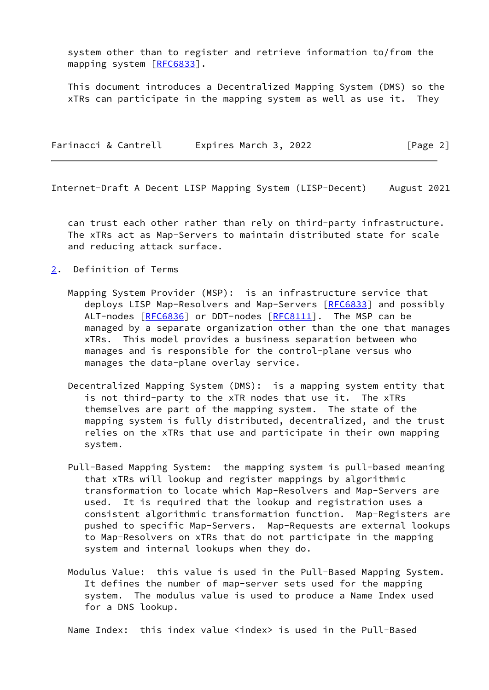system other than to register and retrieve information to/from the mapping system [\[RFC6833](https://datatracker.ietf.org/doc/pdf/rfc6833)].

 This document introduces a Decentralized Mapping System (DMS) so the xTRs can participate in the mapping system as well as use it. They

|  | Farinacci & Cantrell | Expires March 3, 2022 | [Page 2] |
|--|----------------------|-----------------------|----------|
|--|----------------------|-----------------------|----------|

<span id="page-2-1"></span>Internet-Draft A Decent LISP Mapping System (LISP-Decent) August 2021

 can trust each other rather than rely on third-party infrastructure. The xTRs act as Map-Servers to maintain distributed state for scale and reducing attack surface.

- <span id="page-2-0"></span>[2](#page-2-0). Definition of Terms
	- Mapping System Provider (MSP): is an infrastructure service that deploys LISP Map-Resolvers and Map-Servers [[RFC6833](https://datatracker.ietf.org/doc/pdf/rfc6833)] and possibly ALT-nodes [\[RFC6836](https://datatracker.ietf.org/doc/pdf/rfc6836)] or DDT-nodes [\[RFC8111](https://datatracker.ietf.org/doc/pdf/rfc8111)]. The MSP can be managed by a separate organization other than the one that manages xTRs. This model provides a business separation between who manages and is responsible for the control-plane versus who manages the data-plane overlay service.
	- Decentralized Mapping System (DMS): is a mapping system entity that is not third-party to the xTR nodes that use it. The xTRs themselves are part of the mapping system. The state of the mapping system is fully distributed, decentralized, and the trust relies on the xTRs that use and participate in their own mapping system.
	- Pull-Based Mapping System: the mapping system is pull-based meaning that xTRs will lookup and register mappings by algorithmic transformation to locate which Map-Resolvers and Map-Servers are used. It is required that the lookup and registration uses a consistent algorithmic transformation function. Map-Registers are pushed to specific Map-Servers. Map-Requests are external lookups to Map-Resolvers on xTRs that do not participate in the mapping system and internal lookups when they do.
	- Modulus Value: this value is used in the Pull-Based Mapping System. It defines the number of map-server sets used for the mapping system. The modulus value is used to produce a Name Index used for a DNS lookup.

Name Index: this index value <index> is used in the Pull-Based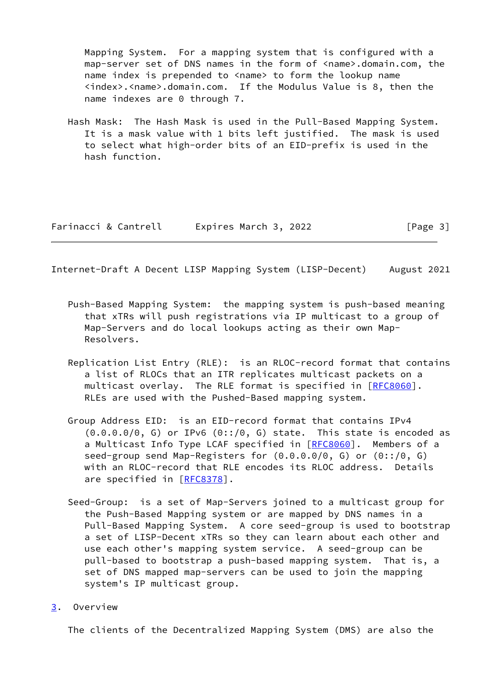Mapping System. For a mapping system that is configured with a map-server set of DNS names in the form of <name>.domain.com, the name index is prepended to <name> to form the lookup name <index>.<name>.domain.com. If the Modulus Value is 8, then the name indexes are 0 through 7.

 Hash Mask: The Hash Mask is used in the Pull-Based Mapping System. It is a mask value with 1 bits left justified. The mask is used to select what high-order bits of an EID-prefix is used in the hash function.

| Farinacci & Cantrell | Expires March 3, 2022 | [Page 3] |
|----------------------|-----------------------|----------|
|----------------------|-----------------------|----------|

<span id="page-3-1"></span>Internet-Draft A Decent LISP Mapping System (LISP-Decent) August 2021

- Push-Based Mapping System: the mapping system is push-based meaning that xTRs will push registrations via IP multicast to a group of Map-Servers and do local lookups acting as their own Map- Resolvers.
- Replication List Entry (RLE): is an RLOC-record format that contains a list of RLOCs that an ITR replicates multicast packets on a multicast overlay. The RLE format is specified in [[RFC8060](https://datatracker.ietf.org/doc/pdf/rfc8060)]. RLEs are used with the Pushed-Based mapping system.
- Group Address EID: is an EID-record format that contains IPv4  $(0.0.0.0/0, G)$  or IPv6  $(0::/0, G)$  state. This state is encoded as a Multicast Info Type LCAF specified in [[RFC8060\]](https://datatracker.ietf.org/doc/pdf/rfc8060). Members of a seed-group send Map-Registers for (0.0.0.0/0, G) or (0::/0, G) with an RLOC-record that RLE encodes its RLOC address. Details are specified in [\[RFC8378](https://datatracker.ietf.org/doc/pdf/rfc8378)].
- Seed-Group: is a set of Map-Servers joined to a multicast group for the Push-Based Mapping system or are mapped by DNS names in a Pull-Based Mapping System. A core seed-group is used to bootstrap a set of LISP-Decent xTRs so they can learn about each other and use each other's mapping system service. A seed-group can be pull-based to bootstrap a push-based mapping system. That is, a set of DNS mapped map-servers can be used to join the mapping system's IP multicast group.
- <span id="page-3-0"></span>[3](#page-3-0). Overview

The clients of the Decentralized Mapping System (DMS) are also the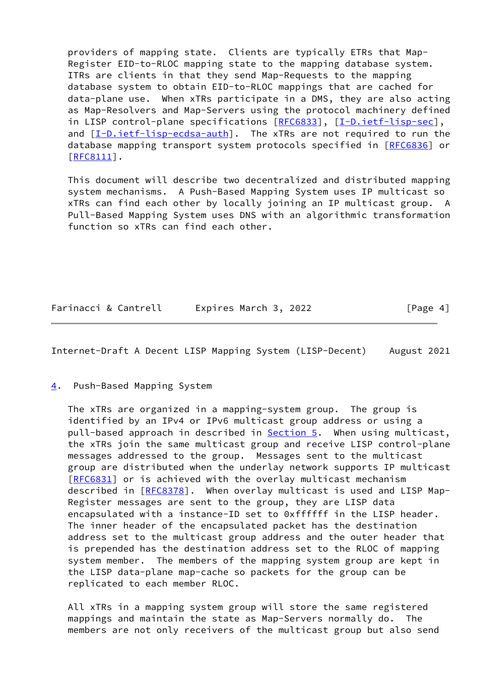providers of mapping state. Clients are typically ETRs that Map- Register EID-to-RLOC mapping state to the mapping database system. ITRs are clients in that they send Map-Requests to the mapping database system to obtain EID-to-RLOC mappings that are cached for data-plane use. When xTRs participate in a DMS, they are also acting as Map-Resolvers and Map-Servers using the protocol machinery defined in LISP control-plane specifications [\[RFC6833](https://datatracker.ietf.org/doc/pdf/rfc6833)], [\[I-D.ietf-lisp-sec](#page-14-5)], and  $[I-D.ietf-lisp-ecdsa-auth]$  $[I-D.ietf-lisp-ecdsa-auth]$ . The xTRs are not required to run the database mapping transport system protocols specified in [\[RFC6836](https://datatracker.ietf.org/doc/pdf/rfc6836)] or [\[RFC8111](https://datatracker.ietf.org/doc/pdf/rfc8111)].

 This document will describe two decentralized and distributed mapping system mechanisms. A Push-Based Mapping System uses IP multicast so xTRs can find each other by locally joining an IP multicast group. A Pull-Based Mapping System uses DNS with an algorithmic transformation function so xTRs can find each other.

Farinacci & Cantrell Expires March 3, 2022 [Page 4]

<span id="page-4-1"></span>Internet-Draft A Decent LISP Mapping System (LISP-Decent) August 2021

<span id="page-4-0"></span>[4](#page-4-0). Push-Based Mapping System

 The xTRs are organized in a mapping-system group. The group is identified by an IPv4 or IPv6 multicast group address or using a pull-based approach in described in [Section 5.](#page-9-0) When using multicast, the xTRs join the same multicast group and receive LISP control-plane messages addressed to the group. Messages sent to the multicast group are distributed when the underlay network supports IP multicast [\[RFC6831](https://datatracker.ietf.org/doc/pdf/rfc6831)] or is achieved with the overlay multicast mechanism described in [\[RFC8378](https://datatracker.ietf.org/doc/pdf/rfc8378)]. When overlay multicast is used and LISP Map- Register messages are sent to the group, they are LISP data encapsulated with a instance-ID set to 0xffffff in the LISP header. The inner header of the encapsulated packet has the destination address set to the multicast group address and the outer header that is prepended has the destination address set to the RLOC of mapping system member. The members of the mapping system group are kept in the LISP data-plane map-cache so packets for the group can be replicated to each member RLOC.

 All xTRs in a mapping system group will store the same registered mappings and maintain the state as Map-Servers normally do. The members are not only receivers of the multicast group but also send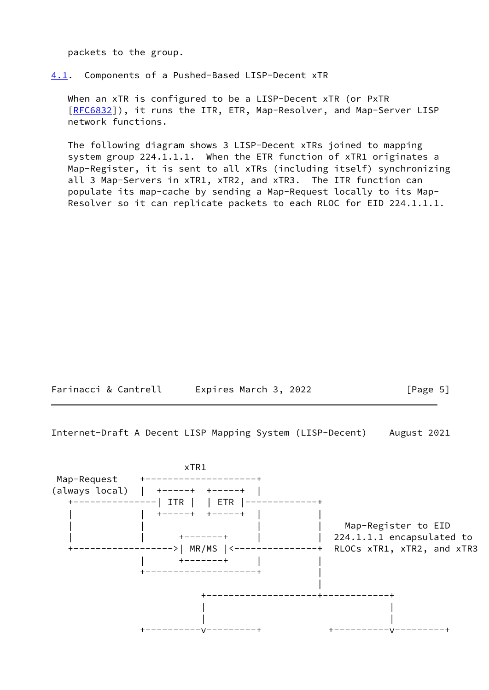packets to the group.

<span id="page-5-0"></span>[4.1](#page-5-0). Components of a Pushed-Based LISP-Decent xTR

 When an xTR is configured to be a LISP-Decent xTR (or PxTR [\[RFC6832](https://datatracker.ietf.org/doc/pdf/rfc6832)]), it runs the ITR, ETR, Map-Resolver, and Map-Server LISP network functions.

 The following diagram shows 3 LISP-Decent xTRs joined to mapping system group 224.1.1.1. When the ETR function of xTR1 originates a Map-Register, it is sent to all xTRs (including itself) synchronizing all 3 Map-Servers in xTR1, xTR2, and xTR3. The ITR function can populate its map-cache by sending a Map-Request locally to its Map- Resolver so it can replicate packets to each RLOC for EID 224.1.1.1.

Farinacci & Cantrell Expires March 3, 2022 [Page 5]

<span id="page-5-1"></span>Internet-Draft A Decent LISP Mapping System (LISP-Decent) August 2021

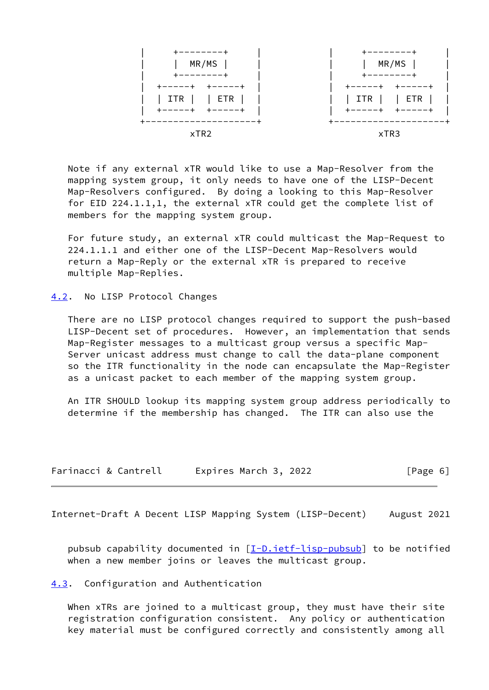

 Note if any external xTR would like to use a Map-Resolver from the mapping system group, it only needs to have one of the LISP-Decent Map-Resolvers configured. By doing a looking to this Map-Resolver for EID 224.1.1,1, the external xTR could get the complete list of members for the mapping system group.

 For future study, an external xTR could multicast the Map-Request to 224.1.1.1 and either one of the LISP-Decent Map-Resolvers would return a Map-Reply or the external xTR is prepared to receive multiple Map-Replies.

<span id="page-6-0"></span>[4.2](#page-6-0). No LISP Protocol Changes

 There are no LISP protocol changes required to support the push-based LISP-Decent set of procedures. However, an implementation that sends Map-Register messages to a multicast group versus a specific Map- Server unicast address must change to call the data-plane component so the ITR functionality in the node can encapsulate the Map-Register as a unicast packet to each member of the mapping system group.

 An ITR SHOULD lookup its mapping system group address periodically to determine if the membership has changed. The ITR can also use the

| Farinacci & Cantrell | Expires March 3, 2022 | [Page 6] |
|----------------------|-----------------------|----------|
|----------------------|-----------------------|----------|

<span id="page-6-2"></span>Internet-Draft A Decent LISP Mapping System (LISP-Decent) August 2021

pubsub capability documented in  $[I-D.iett-lisp-pubsub]$  to be notified when a new member joins or leaves the multicast group.

<span id="page-6-1"></span>[4.3](#page-6-1). Configuration and Authentication

When xTRs are joined to a multicast group, they must have their site registration configuration consistent. Any policy or authentication key material must be configured correctly and consistently among all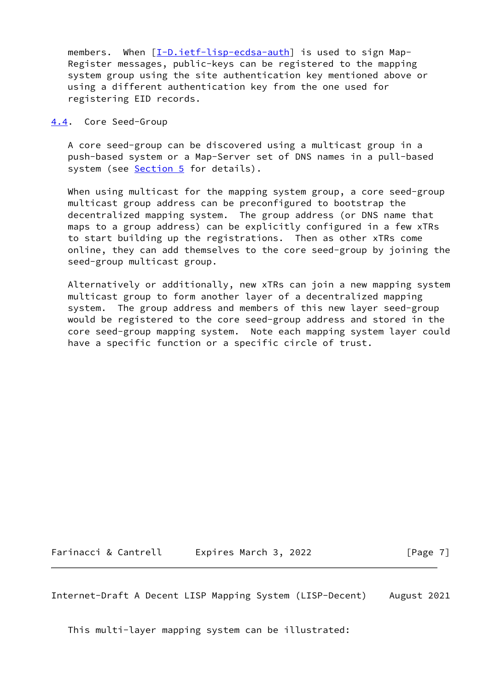members. When [\[I-D.ietf-lisp-ecdsa-auth](#page-13-2)] is used to sign Map- Register messages, public-keys can be registered to the mapping system group using the site authentication key mentioned above or using a different authentication key from the one used for registering EID records.

<span id="page-7-0"></span>[4.4](#page-7-0). Core Seed-Group

 A core seed-group can be discovered using a multicast group in a push-based system or a Map-Server set of DNS names in a pull-based system (see [Section 5](#page-9-0) for details).

When using multicast for the mapping system group, a core seed-group multicast group address can be preconfigured to bootstrap the decentralized mapping system. The group address (or DNS name that maps to a group address) can be explicitly configured in a few xTRs to start building up the registrations. Then as other xTRs come online, they can add themselves to the core seed-group by joining the seed-group multicast group.

 Alternatively or additionally, new xTRs can join a new mapping system multicast group to form another layer of a decentralized mapping system. The group address and members of this new layer seed-group would be registered to the core seed-group address and stored in the core seed-group mapping system. Note each mapping system layer could have a specific function or a specific circle of trust.

Farinacci & Cantrell Expires March 3, 2022 [Page 7]

Internet-Draft A Decent LISP Mapping System (LISP-Decent) August 2021

This multi-layer mapping system can be illustrated: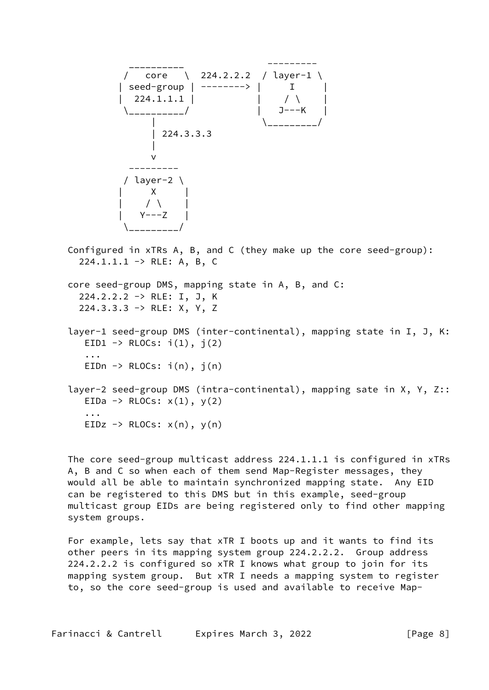

 Configured in xTRs A, B, and C (they make up the core seed-group):  $224.1.1.1 \rightarrow RLE: A, B, C$  core seed-group DMS, mapping state in A, B, and C: 224.2.2.2 -> RLE: I, J, K 224.3.3.3 -> RLE: X, Y, Z layer-1 seed-group DMS (inter-continental), mapping state in I, J, K: EID1  $\rightarrow$  RLOCs:  $i(1)$ ,  $j(2)$  ... EIDn  $\rightarrow$  RLOCs:  $i(n)$ ,  $j(n)$  layer-2 seed-group DMS (intra-continental), mapping sate in X, Y, Z:: EIDa  $\rightarrow$  RLOCs:  $x(1)$ ,  $y(2)$ ...

 The core seed-group multicast address 224.1.1.1 is configured in xTRs A, B and C so when each of them send Map-Register messages, they would all be able to maintain synchronized mapping state. Any EID can be registered to this DMS but in this example, seed-group multicast group EIDs are being registered only to find other mapping system groups.

 For example, lets say that xTR I boots up and it wants to find its other peers in its mapping system group 224.2.2.2. Group address 224.2.2.2 is configured so xTR I knows what group to join for its mapping system group. But xTR I needs a mapping system to register to, so the core seed-group is used and available to receive Map-

EIDz  $\rightarrow$  RLOCs:  $x(n)$ ,  $y(n)$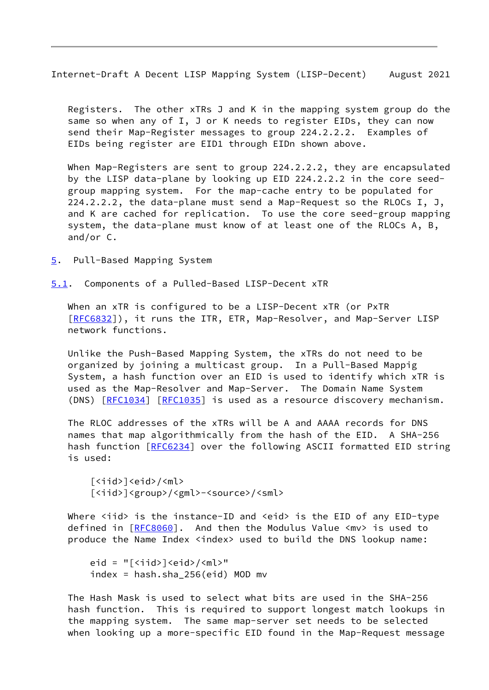<span id="page-9-1"></span> Registers. The other xTRs J and K in the mapping system group do the same so when any of I, J or K needs to register EIDs, they can now send their Map-Register messages to group 224.2.2.2. Examples of EIDs being register are EID1 through EIDn shown above.

When Map-Registers are sent to group 224.2.2.2, they are encapsulated by the LISP data-plane by looking up EID 224.2.2.2 in the core seed group mapping system. For the map-cache entry to be populated for 224.2.2.2, the data-plane must send a Map-Request so the RLOCs I, J, and K are cached for replication. To use the core seed-group mapping system, the data-plane must know of at least one of the RLOCs A, B, and/or C.

<span id="page-9-0"></span>[5](#page-9-0). Pull-Based Mapping System

<span id="page-9-2"></span>[5.1](#page-9-2). Components of a Pulled-Based LISP-Decent xTR

 When an xTR is configured to be a LISP-Decent xTR (or PxTR [\[RFC6832](https://datatracker.ietf.org/doc/pdf/rfc6832)]), it runs the ITR, ETR, Map-Resolver, and Map-Server LISP network functions.

 Unlike the Push-Based Mapping System, the xTRs do not need to be organized by joining a multicast group. In a Pull-Based Mappig System, a hash function over an EID is used to identify which xTR is used as the Map-Resolver and Map-Server. The Domain Name System (DNS) [[RFC1034](https://datatracker.ietf.org/doc/pdf/rfc1034)] [\[RFC1035](https://datatracker.ietf.org/doc/pdf/rfc1035)] is used as a resource discovery mechanism.

 The RLOC addresses of the xTRs will be A and AAAA records for DNS names that map algorithmically from the hash of the EID. A SHA-256 hash function [[RFC6234](https://datatracker.ietf.org/doc/pdf/rfc6234)] over the following ASCII formatted EID string is used:

```
[\langle \text{iid}\rangle] \langle \text{eid}\rangle / \langle \text{ml}\rangle[<iid>]<group>/<gml>-<source>/<sml>
```
Where  $\langle$ iid> is the instance-ID and  $\langle$ eid> is the EID of any EID-type defined in [[RFC8060\]](https://datatracker.ietf.org/doc/pdf/rfc8060). And then the Modulus Value <mv> is used to produce the Name Index <index> used to build the DNS lookup name:

```
eid = "\lceil<iid>\rceil<eid>/<ml>"
index = hash.sha_256(eid) MOD mv
```
 The Hash Mask is used to select what bits are used in the SHA-256 hash function. This is required to support longest match lookups in the mapping system. The same map-server set needs to be selected when looking up a more-specific EID found in the Map-Request message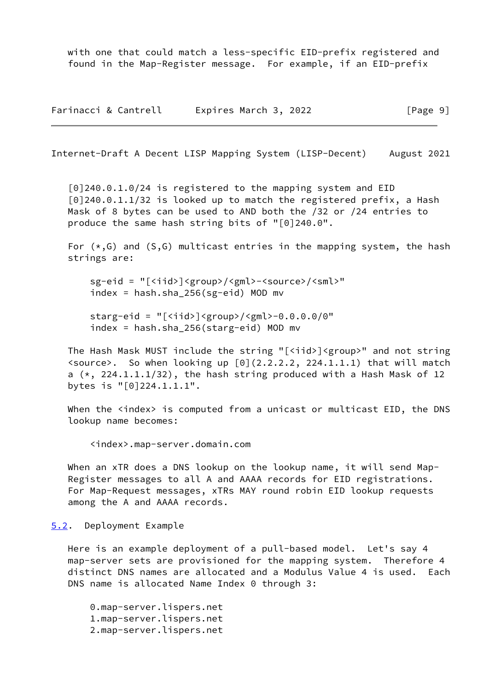with one that could match a less-specific EID-prefix registered and found in the Map-Register message. For example, if an EID-prefix

Farinacci & Cantrell Expires March 3, 2022 [Page 9]

<span id="page-10-1"></span>Internet-Draft A Decent LISP Mapping System (LISP-Decent) August 2021

 [0]240.0.1.0/24 is registered to the mapping system and EID [0]240.0.1.1/32 is looked up to match the registered prefix, a Hash Mask of 8 bytes can be used to AND both the /32 or /24 entries to produce the same hash string bits of "[0]240.0".

For  $(*, G)$  and  $(S, G)$  multicast entries in the mapping system, the hash strings are:

 sg-eid = "[<iid>]<group>/<gml>-<source>/<sml>" index = hash.sha\_256(sg-eid) MOD mv

starg-eid = " $\lceil$ <iid> $\rceil$ <group>/<gml>-0.0.0.0/0" index = hash.sha\_256(starg-eid) MOD mv

 The Hash Mask MUST include the string "[<iid>]<group>" and not string <source>. So when looking up [0](2.2.2.2, 224.1.1.1) that will match a  $(*, 224.1.1.1/32)$ , the hash string produced with a Hash Mask of 12 bytes is "[0]224.1.1.1".

When the <index> is computed from a unicast or multicast EID, the DNS lookup name becomes:

<index>.map-server.domain.com

When an xTR does a DNS lookup on the lookup name, it will send Map- Register messages to all A and AAAA records for EID registrations. For Map-Request messages, xTRs MAY round robin EID lookup requests among the A and AAAA records.

<span id="page-10-0"></span>[5.2](#page-10-0). Deployment Example

 Here is an example deployment of a pull-based model. Let's say 4 map-server sets are provisioned for the mapping system. Therefore 4 distinct DNS names are allocated and a Modulus Value 4 is used. Each DNS name is allocated Name Index 0 through 3:

 0.map-server.lispers.net 1.map-server.lispers.net 2.map-server.lispers.net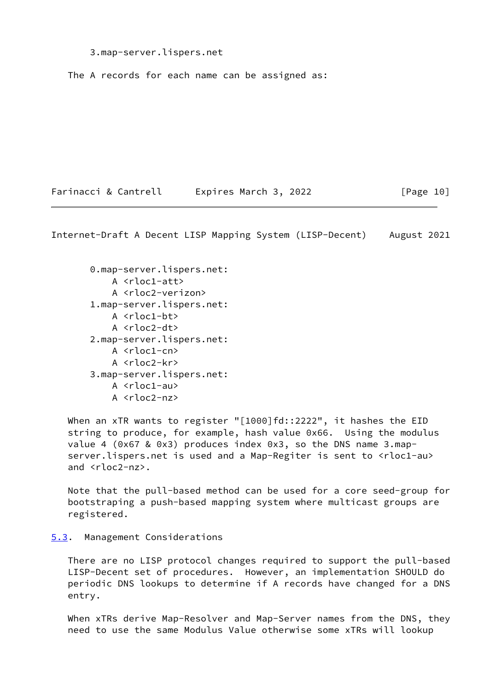3.map-server.lispers.net

The A records for each name can be assigned as:

Farinacci & Cantrell Expires March 3, 2022 [Page 10]

<span id="page-11-1"></span>Internet-Draft A Decent LISP Mapping System (LISP-Decent) August 2021

 0.map-server.lispers.net: A <rloc1-att> A <rloc2-verizon> 1.map-server.lispers.net: A <rloc1-bt> A <rloc2-dt> 2.map-server.lispers.net: A <rloc1-cn> A <rloc2-kr> 3.map-server.lispers.net: A <rloc1-au> A <rloc2-nz>

When an xTR wants to register "[1000]fd::2222", it hashes the EID string to produce, for example, hash value 0x66. Using the modulus value 4 (0x67 & 0x3) produces index 0x3, so the DNS name 3.map server.lispers.net is used and a Map-Regiter is sent to <rloc1-au> and <rloc2-nz>.

 Note that the pull-based method can be used for a core seed-group for bootstraping a push-based mapping system where multicast groups are registered.

<span id="page-11-0"></span>[5.3](#page-11-0). Management Considerations

 There are no LISP protocol changes required to support the pull-based LISP-Decent set of procedures. However, an implementation SHOULD do periodic DNS lookups to determine if A records have changed for a DNS entry.

 When xTRs derive Map-Resolver and Map-Server names from the DNS, they need to use the same Modulus Value otherwise some xTRs will lookup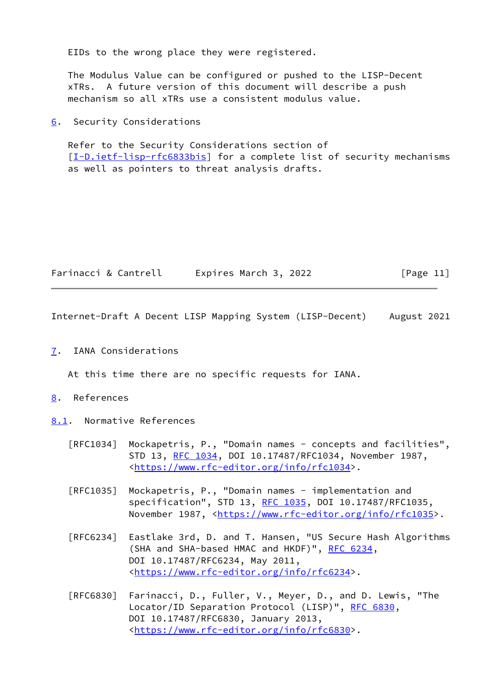EIDs to the wrong place they were registered.

 The Modulus Value can be configured or pushed to the LISP-Decent xTRs. A future version of this document will describe a push mechanism so all xTRs use a consistent modulus value.

<span id="page-12-0"></span>[6](#page-12-0). Security Considerations

 Refer to the Security Considerations section of [\[I-D.ietf-lisp-rfc6833bis](#page-14-7)] for a complete list of security mechanisms as well as pointers to threat analysis drafts.

| Farinacci & Cantrell | Expires March 3, 2022 | [Page 11] |
|----------------------|-----------------------|-----------|
|----------------------|-----------------------|-----------|

<span id="page-12-2"></span>Internet-Draft A Decent LISP Mapping System (LISP-Decent) August 2021

<span id="page-12-1"></span>[7](#page-12-1). IANA Considerations

At this time there are no specific requests for IANA.

- <span id="page-12-3"></span>[8](#page-12-3). References
- <span id="page-12-4"></span>[8.1](#page-12-4). Normative References
	- [RFC1034] Mockapetris, P., "Domain names concepts and facilities", STD 13, [RFC 1034,](https://datatracker.ietf.org/doc/pdf/rfc1034) DOI 10.17487/RFC1034, November 1987, <[https://www.rfc-editor.org/info/rfc1034>](https://www.rfc-editor.org/info/rfc1034).
	- [RFC1035] Mockapetris, P., "Domain names implementation and specification", STD 13, [RFC 1035,](https://datatracker.ietf.org/doc/pdf/rfc1035) DOI 10.17487/RFC1035, November 1987, <<https://www.rfc-editor.org/info/rfc1035>>.
	- [RFC6234] Eastlake 3rd, D. and T. Hansen, "US Secure Hash Algorithms (SHA and SHA-based HMAC and HKDF)", [RFC 6234,](https://datatracker.ietf.org/doc/pdf/rfc6234) DOI 10.17487/RFC6234, May 2011, <[https://www.rfc-editor.org/info/rfc6234>](https://www.rfc-editor.org/info/rfc6234).
	- [RFC6830] Farinacci, D., Fuller, V., Meyer, D., and D. Lewis, "The Locator/ID Separation Protocol (LISP)", [RFC 6830,](https://datatracker.ietf.org/doc/pdf/rfc6830) DOI 10.17487/RFC6830, January 2013, <[https://www.rfc-editor.org/info/rfc6830>](https://www.rfc-editor.org/info/rfc6830).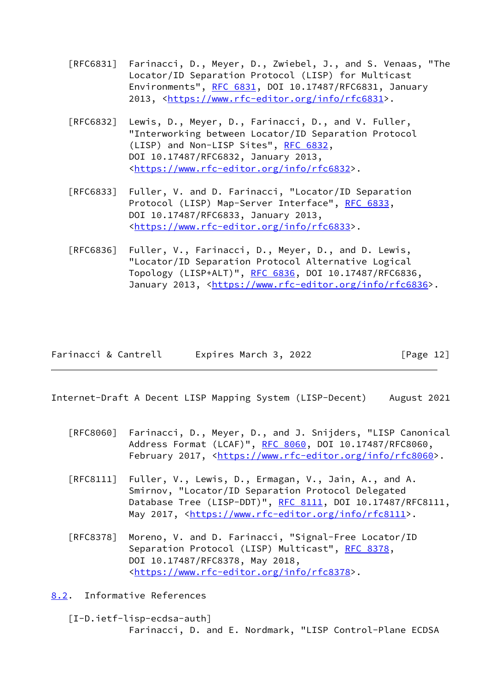- [RFC6831] Farinacci, D., Meyer, D., Zwiebel, J., and S. Venaas, "The Locator/ID Separation Protocol (LISP) for Multicast Environments", [RFC 6831](https://datatracker.ietf.org/doc/pdf/rfc6831), DOI 10.17487/RFC6831, January 2013, [<https://www.rfc-editor.org/info/rfc6831](https://www.rfc-editor.org/info/rfc6831)>.
- [RFC6832] Lewis, D., Meyer, D., Farinacci, D., and V. Fuller, "Interworking between Locator/ID Separation Protocol (LISP) and Non-LISP Sites", [RFC 6832,](https://datatracker.ietf.org/doc/pdf/rfc6832) DOI 10.17487/RFC6832, January 2013, <[https://www.rfc-editor.org/info/rfc6832>](https://www.rfc-editor.org/info/rfc6832).
- [RFC6833] Fuller, V. and D. Farinacci, "Locator/ID Separation Protocol (LISP) Map-Server Interface", [RFC 6833](https://datatracker.ietf.org/doc/pdf/rfc6833), DOI 10.17487/RFC6833, January 2013, <[https://www.rfc-editor.org/info/rfc6833>](https://www.rfc-editor.org/info/rfc6833).
- [RFC6836] Fuller, V., Farinacci, D., Meyer, D., and D. Lewis, "Locator/ID Separation Protocol Alternative Logical Topology (LISP+ALT)", [RFC 6836](https://datatracker.ietf.org/doc/pdf/rfc6836), DOI 10.17487/RFC6836, January 2013, [<https://www.rfc-editor.org/info/rfc6836](https://www.rfc-editor.org/info/rfc6836)>.

<span id="page-13-1"></span>

| Farinacci & Cantrell | Expires March 3, 2022 | [Page 12] |
|----------------------|-----------------------|-----------|
|----------------------|-----------------------|-----------|

- [RFC8060] Farinacci, D., Meyer, D., and J. Snijders, "LISP Canonical Address Format (LCAF)", [RFC 8060,](https://datatracker.ietf.org/doc/pdf/rfc8060) DOI 10.17487/RFC8060, February 2017, <<https://www.rfc-editor.org/info/rfc8060>>.
- [RFC8111] Fuller, V., Lewis, D., Ermagan, V., Jain, A., and A. Smirnov, "Locator/ID Separation Protocol Delegated Database Tree (LISP-DDT)", [RFC 8111](https://datatracker.ietf.org/doc/pdf/rfc8111), DOI 10.17487/RFC8111, May 2017, [<https://www.rfc-editor.org/info/rfc8111](https://www.rfc-editor.org/info/rfc8111)>.
- [RFC8378] Moreno, V. and D. Farinacci, "Signal-Free Locator/ID Separation Protocol (LISP) Multicast", [RFC 8378](https://datatracker.ietf.org/doc/pdf/rfc8378), DOI 10.17487/RFC8378, May 2018, <[https://www.rfc-editor.org/info/rfc8378>](https://www.rfc-editor.org/info/rfc8378).

<span id="page-13-0"></span>[8.2](#page-13-0). Informative References

<span id="page-13-2"></span> [I-D.ietf-lisp-ecdsa-auth] Farinacci, D. and E. Nordmark, "LISP Control-Plane ECDSA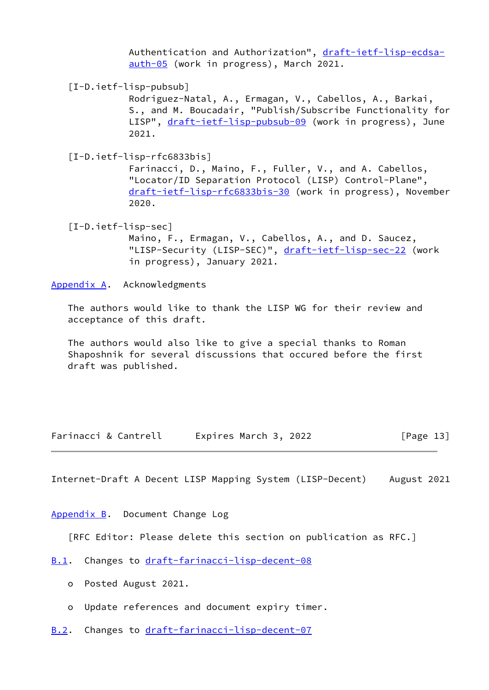Authentication and Authorization", [draft-ietf-lisp-ecdsa](https://datatracker.ietf.org/doc/pdf/draft-ietf-lisp-ecdsa-auth-05) [auth-05](https://datatracker.ietf.org/doc/pdf/draft-ietf-lisp-ecdsa-auth-05) (work in progress), March 2021.

<span id="page-14-6"></span>[I-D.ietf-lisp-pubsub]

 Rodriguez-Natal, A., Ermagan, V., Cabellos, A., Barkai, S., and M. Boucadair, "Publish/Subscribe Functionality for LISP", [draft-ietf-lisp-pubsub-09](https://datatracker.ietf.org/doc/pdf/draft-ietf-lisp-pubsub-09) (work in progress), June 2021.

<span id="page-14-7"></span>[I-D.ietf-lisp-rfc6833bis]

 Farinacci, D., Maino, F., Fuller, V., and A. Cabellos, "Locator/ID Separation Protocol (LISP) Control-Plane", [draft-ietf-lisp-rfc6833bis-30](https://datatracker.ietf.org/doc/pdf/draft-ietf-lisp-rfc6833bis-30) (work in progress), November 2020.

<span id="page-14-5"></span> [I-D.ietf-lisp-sec] Maino, F., Ermagan, V., Cabellos, A., and D. Saucez, "LISP-Security (LISP-SEC)", [draft-ietf-lisp-sec-22](https://datatracker.ietf.org/doc/pdf/draft-ietf-lisp-sec-22) (work in progress), January 2021.

<span id="page-14-0"></span>[Appendix A.](#page-14-0) Acknowledgments

 The authors would like to thank the LISP WG for their review and acceptance of this draft.

 The authors would also like to give a special thanks to Roman Shaposhnik for several discussions that occured before the first draft was published.

| Farinacci & Cantrell | Expires March 3, 2022 | [Page 13] |
|----------------------|-----------------------|-----------|
|----------------------|-----------------------|-----------|

<span id="page-14-2"></span>Internet-Draft A Decent LISP Mapping System (LISP-Decent) August 2021

<span id="page-14-1"></span>[Appendix B.](#page-14-1) Document Change Log

[RFC Editor: Please delete this section on publication as RFC.]

- <span id="page-14-3"></span>[B.1](#page-14-3). Changes to [draft-farinacci-lisp-decent-08](https://datatracker.ietf.org/doc/pdf/draft-farinacci-lisp-decent-08)
	- o Posted August 2021.
	- o Update references and document expiry timer.
- <span id="page-14-4"></span>[B.2](#page-14-4). Changes to [draft-farinacci-lisp-decent-07](https://datatracker.ietf.org/doc/pdf/draft-farinacci-lisp-decent-07)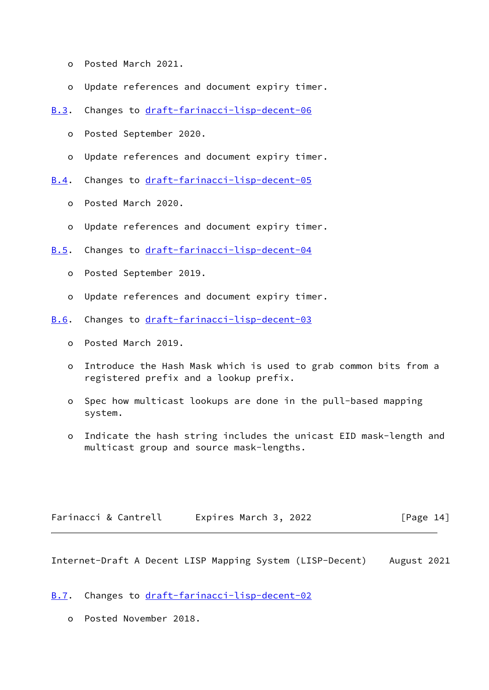- o Posted March 2021.
- o Update references and document expiry timer.
- <span id="page-15-0"></span>[B.3](#page-15-0). Changes to [draft-farinacci-lisp-decent-06](https://datatracker.ietf.org/doc/pdf/draft-farinacci-lisp-decent-06)
	- o Posted September 2020.
	- o Update references and document expiry timer.
- <span id="page-15-1"></span>[B.4](#page-15-1). Changes to [draft-farinacci-lisp-decent-05](https://datatracker.ietf.org/doc/pdf/draft-farinacci-lisp-decent-05)
	- o Posted March 2020.
	- o Update references and document expiry timer.
- <span id="page-15-2"></span>[B.5](#page-15-2). Changes to [draft-farinacci-lisp-decent-04](https://datatracker.ietf.org/doc/pdf/draft-farinacci-lisp-decent-04)
	- o Posted September 2019.
	- o Update references and document expiry timer.
- <span id="page-15-3"></span>[B.6](#page-15-3). Changes to [draft-farinacci-lisp-decent-03](https://datatracker.ietf.org/doc/pdf/draft-farinacci-lisp-decent-03)
	- o Posted March 2019.
	- o Introduce the Hash Mask which is used to grab common bits from a registered prefix and a lookup prefix.
	- o Spec how multicast lookups are done in the pull-based mapping system.
	- o Indicate the hash string includes the unicast EID mask-length and multicast group and source mask-lengths.

<span id="page-15-5"></span>

| Farinacci & Cantrell | Expires March 3, 2022 | [Page 14] |
|----------------------|-----------------------|-----------|
|----------------------|-----------------------|-----------|

<span id="page-15-4"></span>[B.7](#page-15-4). Changes to [draft-farinacci-lisp-decent-02](https://datatracker.ietf.org/doc/pdf/draft-farinacci-lisp-decent-02)

o Posted November 2018.